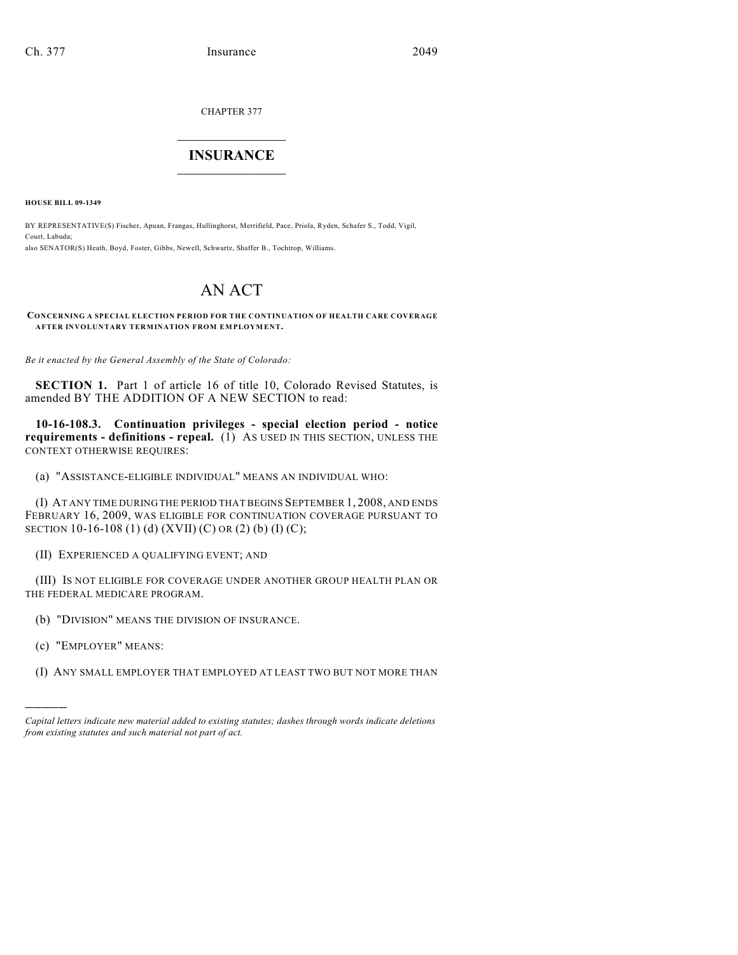CHAPTER 377

## $\mathcal{L}_\text{max}$  . The set of the set of the set of the set of the set of the set of the set of the set of the set of the set of the set of the set of the set of the set of the set of the set of the set of the set of the set **INSURANCE**  $\frac{1}{2}$  ,  $\frac{1}{2}$  ,  $\frac{1}{2}$  ,  $\frac{1}{2}$  ,  $\frac{1}{2}$  ,  $\frac{1}{2}$  ,  $\frac{1}{2}$

**HOUSE BILL 09-1349**

BY REPRESENTATIVE(S) Fischer, Apuan, Frangas, Hullinghorst, Merrifield, Pace, Priola, Ryden, Schafer S., Todd, Vigil, Court, Labuda; also SENATOR(S) Heath, Boyd, Foster, Gibbs, Newell, Schwartz, Shaffer B., Tochtrop, Williams.

## AN ACT

**CONCERNING A SPECIAL ELECTION PERIOD FOR THE CONTINUATION OF HEALTH CARE COVERAGE AFTER INVOLUNTARY TERMINATION FROM EMPLOYMENT.**

*Be it enacted by the General Assembly of the State of Colorado:*

**SECTION 1.** Part 1 of article 16 of title 10, Colorado Revised Statutes, is amended BY THE ADDITION OF A NEW SECTION to read:

**10-16-108.3. Continuation privileges - special election period - notice requirements - definitions - repeal.** (1) AS USED IN THIS SECTION, UNLESS THE CONTEXT OTHERWISE REQUIRES:

(a) "ASSISTANCE-ELIGIBLE INDIVIDUAL" MEANS AN INDIVIDUAL WHO:

(I) AT ANY TIME DURING THE PERIOD THAT BEGINS SEPTEMBER 1, 2008, AND ENDS FEBRUARY 16, 2009, WAS ELIGIBLE FOR CONTINUATION COVERAGE PURSUANT TO SECTION 10-16-108 (1) (d) (XVII) (C) OR (2) (b) (I) (C);

(II) EXPERIENCED A QUALIFYING EVENT; AND

(III) IS NOT ELIGIBLE FOR COVERAGE UNDER ANOTHER GROUP HEALTH PLAN OR THE FEDERAL MEDICARE PROGRAM.

(b) "DIVISION" MEANS THE DIVISION OF INSURANCE.

(c) "EMPLOYER" MEANS:

)))))

(I) ANY SMALL EMPLOYER THAT EMPLOYED AT LEAST TWO BUT NOT MORE THAN

*Capital letters indicate new material added to existing statutes; dashes through words indicate deletions from existing statutes and such material not part of act.*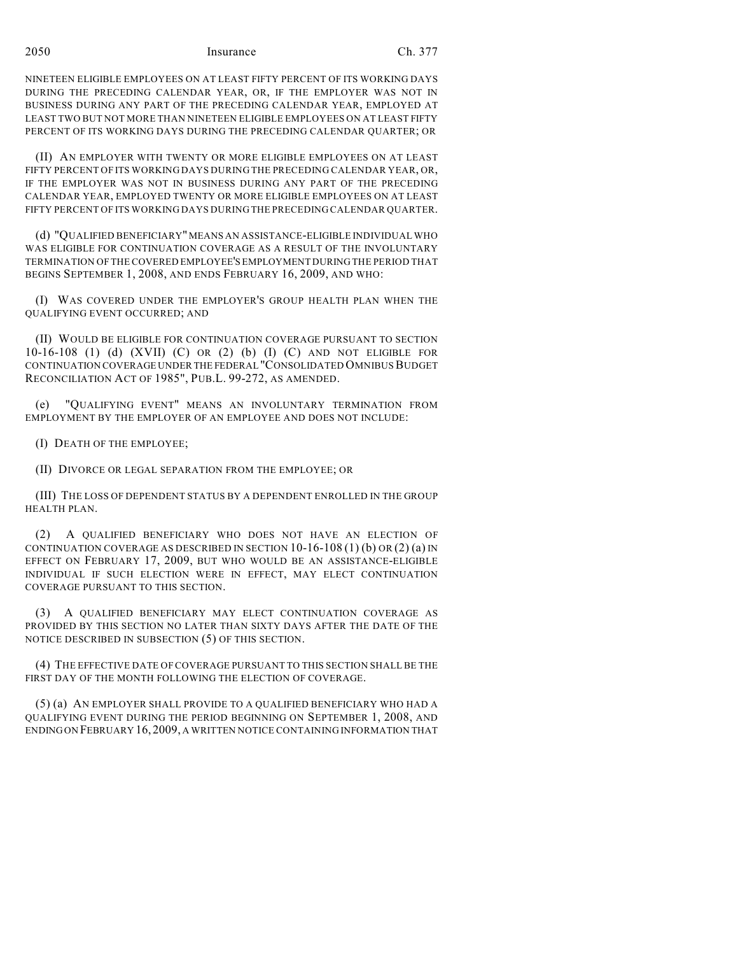2050 Insurance Ch. 377

NINETEEN ELIGIBLE EMPLOYEES ON AT LEAST FIFTY PERCENT OF ITS WORKING DAYS DURING THE PRECEDING CALENDAR YEAR, OR, IF THE EMPLOYER WAS NOT IN BUSINESS DURING ANY PART OF THE PRECEDING CALENDAR YEAR, EMPLOYED AT LEAST TWO BUT NOT MORE THAN NINETEEN ELIGIBLE EMPLOYEES ON AT LEAST FIFTY PERCENT OF ITS WORKING DAYS DURING THE PRECEDING CALENDAR QUARTER; OR

(II) AN EMPLOYER WITH TWENTY OR MORE ELIGIBLE EMPLOYEES ON AT LEAST FIFTY PERCENT OF ITS WORKING DAYS DURING THE PRECEDING CALENDAR YEAR, OR, IF THE EMPLOYER WAS NOT IN BUSINESS DURING ANY PART OF THE PRECEDING CALENDAR YEAR, EMPLOYED TWENTY OR MORE ELIGIBLE EMPLOYEES ON AT LEAST FIFTY PERCENT OF ITS WORKING DAYS DURING THE PRECEDING CALENDAR QUARTER.

(d) "QUALIFIED BENEFICIARY" MEANS AN ASSISTANCE-ELIGIBLE INDIVIDUAL WHO WAS ELIGIBLE FOR CONTINUATION COVERAGE AS A RESULT OF THE INVOLUNTARY TERMINATION OF THE COVERED EMPLOYEE'S EMPLOYMENT DURING THE PERIOD THAT BEGINS SEPTEMBER 1, 2008, AND ENDS FEBRUARY 16, 2009, AND WHO:

(I) WAS COVERED UNDER THE EMPLOYER'S GROUP HEALTH PLAN WHEN THE QUALIFYING EVENT OCCURRED; AND

(II) WOULD BE ELIGIBLE FOR CONTINUATION COVERAGE PURSUANT TO SECTION 10-16-108 (1) (d) (XVII) (C) OR (2) (b) (I) (C) AND NOT ELIGIBLE FOR CONTINUATION COVERAGE UNDER THE FEDERAL "CONSOLIDATED OMNIBUS BUDGET RECONCILIATION ACT OF 1985", PUB.L. 99-272, AS AMENDED.

(e) "QUALIFYING EVENT" MEANS AN INVOLUNTARY TERMINATION FROM EMPLOYMENT BY THE EMPLOYER OF AN EMPLOYEE AND DOES NOT INCLUDE:

(I) DEATH OF THE EMPLOYEE;

(II) DIVORCE OR LEGAL SEPARATION FROM THE EMPLOYEE; OR

(III) THE LOSS OF DEPENDENT STATUS BY A DEPENDENT ENROLLED IN THE GROUP HEALTH PLAN.

(2) A QUALIFIED BENEFICIARY WHO DOES NOT HAVE AN ELECTION OF CONTINUATION COVERAGE AS DESCRIBED IN SECTION  $10-16-108(1)$  (b) OR  $(2)$  (a) IN EFFECT ON FEBRUARY 17, 2009, BUT WHO WOULD BE AN ASSISTANCE-ELIGIBLE INDIVIDUAL IF SUCH ELECTION WERE IN EFFECT, MAY ELECT CONTINUATION COVERAGE PURSUANT TO THIS SECTION.

(3) A QUALIFIED BENEFICIARY MAY ELECT CONTINUATION COVERAGE AS PROVIDED BY THIS SECTION NO LATER THAN SIXTY DAYS AFTER THE DATE OF THE NOTICE DESCRIBED IN SUBSECTION (5) OF THIS SECTION.

(4) THE EFFECTIVE DATE OF COVERAGE PURSUANT TO THIS SECTION SHALL BE THE FIRST DAY OF THE MONTH FOLLOWING THE ELECTION OF COVERAGE.

(5) (a) AN EMPLOYER SHALL PROVIDE TO A QUALIFIED BENEFICIARY WHO HAD A QUALIFYING EVENT DURING THE PERIOD BEGINNING ON SEPTEMBER 1, 2008, AND ENDING ON FEBRUARY 16,2009, A WRITTEN NOTICE CONTAINING INFORMATION THAT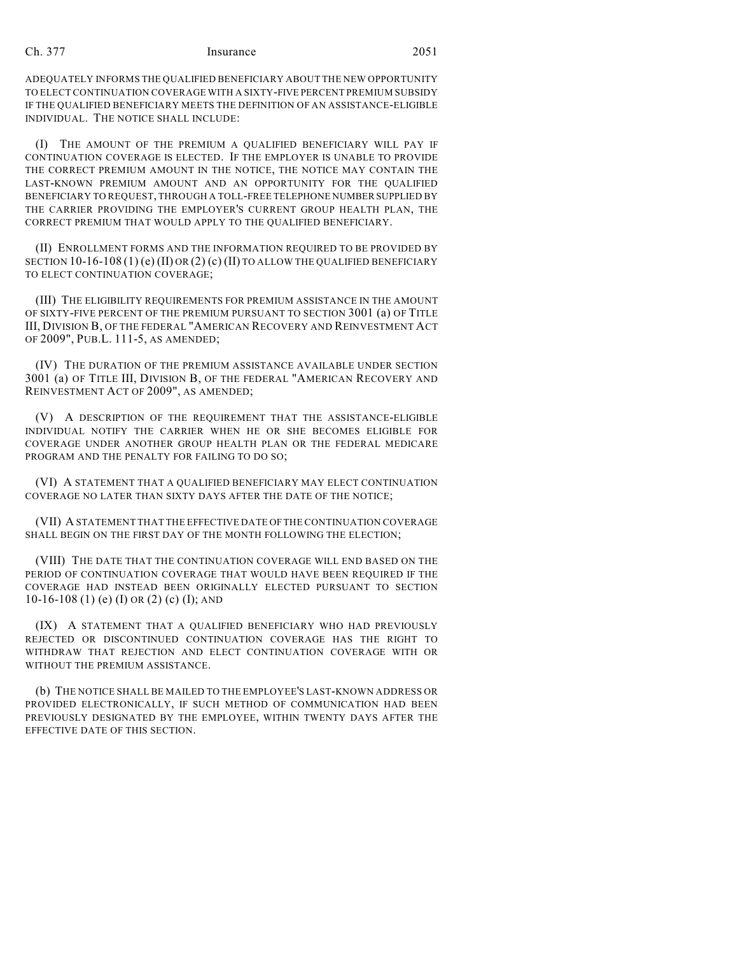## Ch. 377 Insurance 2051

ADEQUATELY INFORMS THE QUALIFIED BENEFICIARY ABOUT THE NEW OPPORTUNITY TO ELECT CONTINUATION COVERAGE WITH A SIXTY-FIVE PERCENT PREMIUM SUBSIDY IF THE QUALIFIED BENEFICIARY MEETS THE DEFINITION OF AN ASSISTANCE-ELIGIBLE INDIVIDUAL. THE NOTICE SHALL INCLUDE:

(I) THE AMOUNT OF THE PREMIUM A QUALIFIED BENEFICIARY WILL PAY IF CONTINUATION COVERAGE IS ELECTED. IF THE EMPLOYER IS UNABLE TO PROVIDE THE CORRECT PREMIUM AMOUNT IN THE NOTICE, THE NOTICE MAY CONTAIN THE LAST-KNOWN PREMIUM AMOUNT AND AN OPPORTUNITY FOR THE QUALIFIED BENEFICIARY TO REQUEST, THROUGH A TOLL-FREE TELEPHONE NUMBER SUPPLIED BY THE CARRIER PROVIDING THE EMPLOYER'S CURRENT GROUP HEALTH PLAN, THE CORRECT PREMIUM THAT WOULD APPLY TO THE QUALIFIED BENEFICIARY.

(II) ENROLLMENT FORMS AND THE INFORMATION REQUIRED TO BE PROVIDED BY SECTION 10-16-108 (1) (e) (II) OR (2) (c) (II) TO ALLOW THE QUALIFIED BENEFICIARY TO ELECT CONTINUATION COVERAGE;

(III) THE ELIGIBILITY REQUIREMENTS FOR PREMIUM ASSISTANCE IN THE AMOUNT OF SIXTY-FIVE PERCENT OF THE PREMIUM PURSUANT TO SECTION 3001 (a) OF TITLE III, DIVISION B, OF THE FEDERAL "AMERICAN RECOVERY AND REINVESTMENT ACT OF 2009", PUB.L. 111-5, AS AMENDED;

(IV) THE DURATION OF THE PREMIUM ASSISTANCE AVAILABLE UNDER SECTION 3001 (a) OF TITLE III, DIVISION B, OF THE FEDERAL "AMERICAN RECOVERY AND REINVESTMENT ACT OF 2009", AS AMENDED;

(V) A DESCRIPTION OF THE REQUIREMENT THAT THE ASSISTANCE-ELIGIBLE INDIVIDUAL NOTIFY THE CARRIER WHEN HE OR SHE BECOMES ELIGIBLE FOR COVERAGE UNDER ANOTHER GROUP HEALTH PLAN OR THE FEDERAL MEDICARE PROGRAM AND THE PENALTY FOR FAILING TO DO SO;

(VI) A STATEMENT THAT A QUALIFIED BENEFICIARY MAY ELECT CONTINUATION COVERAGE NO LATER THAN SIXTY DAYS AFTER THE DATE OF THE NOTICE;

(VII) A STATEMENT THAT THE EFFECTIVE DATE OF THE CONTINUATION COVERAGE SHALL BEGIN ON THE FIRST DAY OF THE MONTH FOLLOWING THE ELECTION;

(VIII) THE DATE THAT THE CONTINUATION COVERAGE WILL END BASED ON THE PERIOD OF CONTINUATION COVERAGE THAT WOULD HAVE BEEN REQUIRED IF THE COVERAGE HAD INSTEAD BEEN ORIGINALLY ELECTED PURSUANT TO SECTION  $10-16-108$  (1) (e) (I) OR (2) (c) (I); AND

(IX) A STATEMENT THAT A QUALIFIED BENEFICIARY WHO HAD PREVIOUSLY REJECTED OR DISCONTINUED CONTINUATION COVERAGE HAS THE RIGHT TO WITHDRAW THAT REJECTION AND ELECT CONTINUATION COVERAGE WITH OR WITHOUT THE PREMIUM ASSISTANCE.

(b) THE NOTICE SHALL BE MAILED TO THE EMPLOYEE'S LAST-KNOWN ADDRESS OR PROVIDED ELECTRONICALLY, IF SUCH METHOD OF COMMUNICATION HAD BEEN PREVIOUSLY DESIGNATED BY THE EMPLOYEE, WITHIN TWENTY DAYS AFTER THE EFFECTIVE DATE OF THIS SECTION.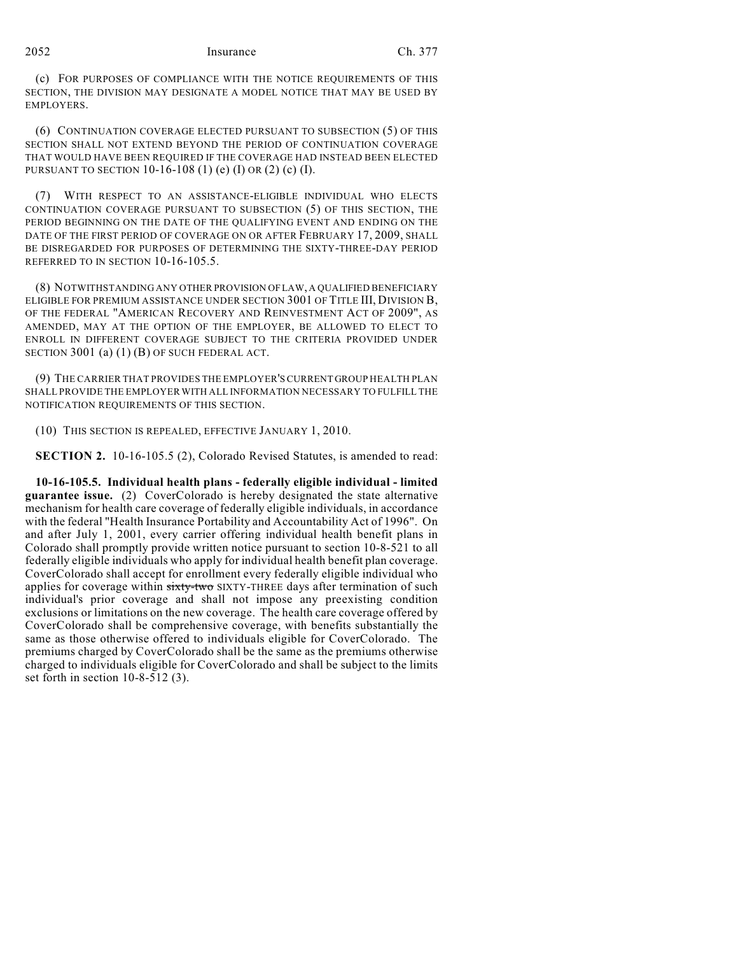## 2052 Insurance Ch. 377

(c) FOR PURPOSES OF COMPLIANCE WITH THE NOTICE REQUIREMENTS OF THIS SECTION, THE DIVISION MAY DESIGNATE A MODEL NOTICE THAT MAY BE USED BY EMPLOYERS.

(6) CONTINUATION COVERAGE ELECTED PURSUANT TO SUBSECTION (5) OF THIS SECTION SHALL NOT EXTEND BEYOND THE PERIOD OF CONTINUATION COVERAGE THAT WOULD HAVE BEEN REQUIRED IF THE COVERAGE HAD INSTEAD BEEN ELECTED PURSUANT TO SECTION 10-16-108 (1) (e) (I) OR (2) (c) (I).

(7) WITH RESPECT TO AN ASSISTANCE-ELIGIBLE INDIVIDUAL WHO ELECTS CONTINUATION COVERAGE PURSUANT TO SUBSECTION (5) OF THIS SECTION, THE PERIOD BEGINNING ON THE DATE OF THE QUALIFYING EVENT AND ENDING ON THE DATE OF THE FIRST PERIOD OF COVERAGE ON OR AFTER FEBRUARY 17, 2009, SHALL BE DISREGARDED FOR PURPOSES OF DETERMINING THE SIXTY-THREE-DAY PERIOD REFERRED TO IN SECTION 10-16-105.5.

(8) NOTWITHSTANDING ANY OTHER PROVISION OF LAW, A QUALIFIED BENEFICIARY ELIGIBLE FOR PREMIUM ASSISTANCE UNDER SECTION 3001 OF TITLE III, DIVISION B, OF THE FEDERAL "AMERICAN RECOVERY AND REINVESTMENT ACT OF 2009", AS AMENDED, MAY AT THE OPTION OF THE EMPLOYER, BE ALLOWED TO ELECT TO ENROLL IN DIFFERENT COVERAGE SUBJECT TO THE CRITERIA PROVIDED UNDER SECTION 3001 (a) (1) (B) OF SUCH FEDERAL ACT.

(9) THE CARRIER THAT PROVIDES THE EMPLOYER'S CURRENT GROUP HEALTH PLAN SHALL PROVIDE THE EMPLOYER WITH ALL INFORMATION NECESSARY TO FULFILL THE NOTIFICATION REQUIREMENTS OF THIS SECTION.

(10) THIS SECTION IS REPEALED, EFFECTIVE JANUARY 1, 2010.

**SECTION 2.** 10-16-105.5 (2), Colorado Revised Statutes, is amended to read:

**10-16-105.5. Individual health plans - federally eligible individual - limited guarantee issue.** (2) CoverColorado is hereby designated the state alternative mechanism for health care coverage of federally eligible individuals, in accordance with the federal "Health Insurance Portability and Accountability Act of 1996". On and after July 1, 2001, every carrier offering individual health benefit plans in Colorado shall promptly provide written notice pursuant to section 10-8-521 to all federally eligible individuals who apply for individual health benefit plan coverage. CoverColorado shall accept for enrollment every federally eligible individual who applies for coverage within sixty-two SIXTY-THREE days after termination of such individual's prior coverage and shall not impose any preexisting condition exclusions or limitations on the new coverage. The health care coverage offered by CoverColorado shall be comprehensive coverage, with benefits substantially the same as those otherwise offered to individuals eligible for CoverColorado. The premiums charged by CoverColorado shall be the same as the premiums otherwise charged to individuals eligible for CoverColorado and shall be subject to the limits set forth in section 10-8-512 (3).